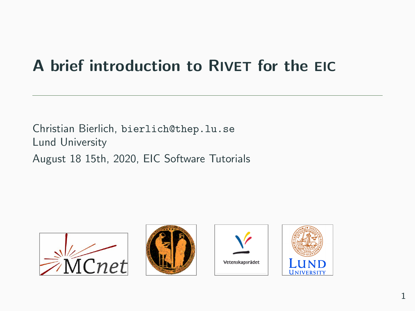# A brief introduction to RIVET for the EIC

Christian Bierlich, bierlich@thep.lu.se Lund University August 18 15th, 2020, EIC Software Tutorials







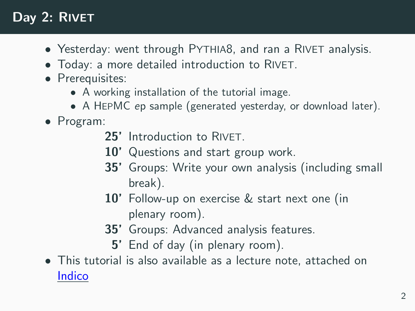## Day 2: RIVET

- Yesterday: went through PYTHIA8, and ran a RIVET analysis.
- Today: a more detailed introduction to RIVET.
- Prerequisites:
	- A working installation of the tutorial image.
	- A HEPMC ep sample (generated yesterday, or download later).

#### • Program:

- 25' Introduction to RIVET.
- 10' Questions and start group work.
- 35' Groups: Write your own analysis (including small break).
- 10' Follow-up on exercise & start next one (in plenary room).
- 35' Groups: Advanced analysis features.
	- 5' End of day (in plenary room).
- This tutorial is also available as a lecture note, attached on [Indico](https://indico.bnl.gov/event/9153/)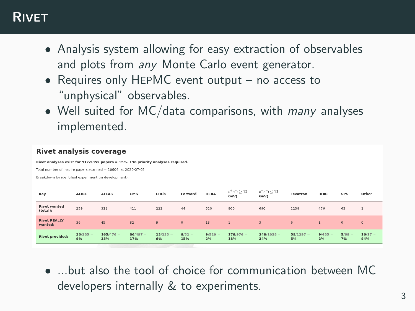#### RIVET

- Analysis system allowing for easy extraction of observables and plots from any Monte Carlo event generator.
- Requires only HEPMC event output no access to "unphysical" observables.
- Well suited for MC/data comparisons, with *many* analyses implemented.

#### **Rivet analysis coverage**

Rivet analyses exist for 917/5952 papers = 15%. 196 priority analyses required.

Total number of Inspire papers scanned = 10604, at 2020-07-02

Breakdown by identified experiment (in development):

| Key                             | <b>ALICE</b>     | <b>ATLAS</b>       | CMS               | LHCb             | Forward         | <b>HERA</b>     | $e^+e^-(\geq 12)$<br>GeV) | $e^+e^-(\leq 12$<br>GeV) | Tevatron          | <b>RHIC</b>     | <b>SPS</b>     | Other            |
|---------------------------------|------------------|--------------------|-------------------|------------------|-----------------|-----------------|---------------------------|--------------------------|-------------------|-----------------|----------------|------------------|
| <b>Rivet wanted</b><br>(total): | 259              | 311                | 411               | 222              | 44              | 520             | 800                       | 690                      | 1238              | 476             | 63             |                  |
| <b>Rivet REALLY</b><br>wanted:  | 36               | 45                 | 82                | 9                | $\circ$         | 13              |                           | $\mathbf{R}$             | 6                 |                 | $\Omega$       | $\circ$          |
| <b>Rivet provided:</b>          | $26/285 =$<br>9% | $165/476 =$<br>35% | $86/497 =$<br>17% | $13/235 =$<br>6% | $8/52 =$<br>15% | $9/529 =$<br>2% | $176/976 =$<br>18%        | $348/1038 =$<br>34%      | $59/1297 =$<br>5% | $9/485 =$<br>2% | $5/68 =$<br>7% | $16/17 =$<br>94% |

 $\bullet$  but also the tool of choice for communication between MC developers internally & to experiments.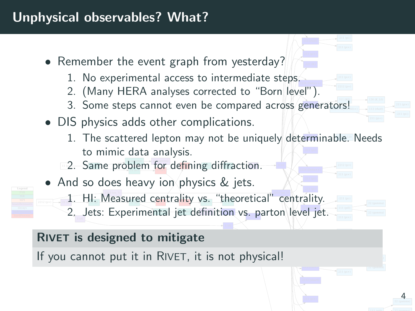#### Unphysical observables? What?

- Remember the event graph from yesterday?
	- 1. No experimental access to intermediate steps.
	- 2. (Many HERA analyses corrected to "Born level").
	- enerators! **\_\_** 3. Some steps cannot even be compared across generators!
- DIS physics adds other complications.
	- 1. The scattered lepton may not be uniquely determinable. Needs to mimic data analysis.

4

- 2. Same problem for defining diffraction.
- And so does heavy ion physics & jets.



- $\ldots$   $\ldots$  cased solutions, i.e.  $\ldots$ 1. HI: Measured centrality vs. "theoretical" centrality.
- 2. Jets: Experimental jet definition vs. parton level jet.

#### RIVET is designed to mitigate

If you cannot put it in RIVET, it is not physical!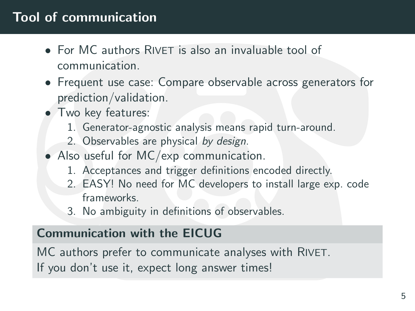### Tool of communication

- For MC authors RIVET is also an invaluable tool of communication.
- Frequent use case: Compare observable across generators for prediction/validation.
- Two key features:
	- 1. Generator-agnostic analysis means rapid turn-around.
	- 2. Observables are physical by design.
- Also useful for MC/exp communication.
	- 1. Acceptances and trigger definitions encoded directly.
	- 2. EASY! No need for MC developers to install large exp. code frameworks.
	- 3. No ambiguity in definitions of observables.

#### Communication with the EICUG

MC authors prefer to communicate analyses with RIVET. If you don't use it, expect long answer times!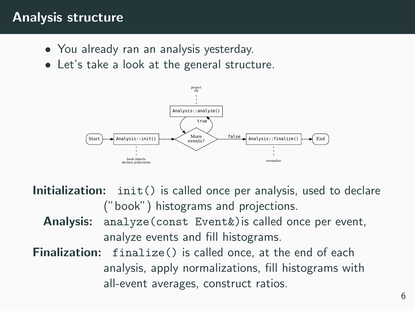#### Analysis structure

- You already ran an analysis yesterday.
- Let's take a look at the general structure.



- Initialization: init() is called once per analysis, used to declare ("book") histograms and projections.
	- Analysis: analyze (const Event&) is called once per event, analyze events and fill histograms.
- Finalization: finalize() is called once, at the end of each analysis, apply normalizations, fill histograms with all-event averages, construct ratios.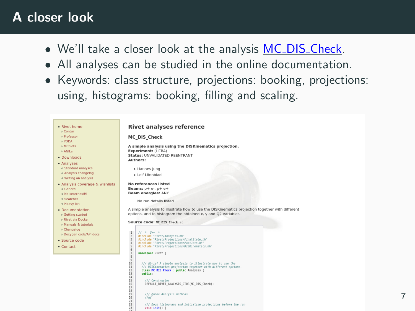#### A closer look

- We'll take a closer look at the analysis MC\_DIS\_[Check.](https://rivet.hepforge.org/analyses/MC_DIS_Check.html)
- All analyses can be studied in the online documentation.
- Keywords: class structure, projections: booking, projections: using, histograms: booking, filling and scaling.

| <b>Rivet home</b><br>o Contur                                                                    | <b>Rivet analyses reference</b>                                                                                                                                                                                                                                                                                                                                                             |
|--------------------------------------------------------------------------------------------------|---------------------------------------------------------------------------------------------------------------------------------------------------------------------------------------------------------------------------------------------------------------------------------------------------------------------------------------------------------------------------------------------|
| o Professor<br>o YODA                                                                            | <b>MC DIS Check</b>                                                                                                                                                                                                                                                                                                                                                                         |
| o MCplots<br>o AGILe<br>Downloads                                                                | A simple analysis using the DISKinematics projection.<br>Experiment: (HERA)<br>Status: UNVALIDATED REENTRANT                                                                                                                                                                                                                                                                                |
| Analyses<br>o Standard analyses<br>o Analysis changelog<br>o Writing an analysis                 | Authors:<br>· Hannes lung<br>· Leif Lönnblad                                                                                                                                                                                                                                                                                                                                                |
| Analysis coverage & wishlists<br>o General<br>o No searches/HI<br>o Searches                     | <b>No references listed</b><br>Beams: $p + e$ ., $p + e +$<br><b>Beam energles: ANY</b><br>No run details listed                                                                                                                                                                                                                                                                            |
| o Heavy Ion<br>Documentation<br>o Getting started<br>o Rivet via Docker<br>· Manuals & tutorials | A simple analysis to illustrate how to use the DISKinematics projection together with different<br>options, and to histogram the obtained x, y and O2 variables.<br>Source code: MC DIS Check.cc                                                                                                                                                                                            |
| · Changelog<br>· Doxygen code/API docs<br>Source code<br>Contact                                 | 11.4.44.44.<br>$\overline{\mathbf{z}}$<br>#include "Rivet/Analysis.hh"<br>$\overline{\mathbf{3}}$<br>#include 'Rivet/Projections/FinalState.hh'<br>60.00<br>#include 'Rivet/Projections/FastJets.hh"<br>#include 'Rivet/Projections/DISKinematics.hh"<br>ż<br>namespace Rivet {                                                                                                             |
|                                                                                                  | $\overline{8}$<br>$\overline{9}$<br>18<br>/// abrief A simple analysis to illustrate how to use the<br>11<br>/// DISKinematics projection together with different options.<br>12<br>class MC DIS Check : public Analysis {<br>13<br>public:<br>$\overline{14}$<br>15<br>/// Constructor<br>16<br>DEFAULT RIVET ANALYSIS CTOR(MC DIS Check);<br>17<br>18<br>19<br>/// Goage Analysis methods |

/// Book histograms and initialise projections before the run

 $rac{28}{21}$  $1/6f$ 

 $\frac{5}{2}$ 

void  $init()$   $\left\{$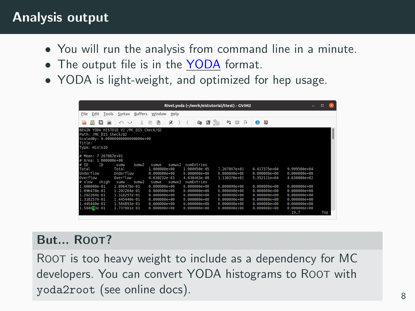#### Analysis output

- You will run the analysis from command line in a minute.
- The output file is in the [YODA](https://yoda.hepforge.org/) format.
- YODA is light-weight, and optimized for hep usage.

| File<br>Edit<br><b>Buffers</b><br>Help<br>Window                                                                                               |      |  |
|------------------------------------------------------------------------------------------------------------------------------------------------|------|--|
| Tools<br>Syntax                                                                                                                                |      |  |
| ø<br>$\Phi_{\mathbf{a}}^{\mathbf{a}}$<br>鷗<br><b>Side</b><br>ø<br>п<br>s<br>田<br>四<br>$\sim$ $\sim$<br>¢<br>п<br>丽<br>Cas<br>m                 |      |  |
| BEGIN YODA HISTO1D V2 /MC DIS Check/02<br>Path: /MC DIS Check/02                                                                               |      |  |
| ScaledBy: 0.00000000000000000e+00                                                                                                              |      |  |
| Title:                                                                                                                                         |      |  |
| Type: HistolD                                                                                                                                  |      |  |
|                                                                                                                                                |      |  |
| # Mean: 7.267867e+01                                                                                                                           |      |  |
| Area: 1.000000e+00                                                                                                                             |      |  |
| 10<br>TD.<br>numEntries<br>sumwx2<br>sum/2<br><b>SUITW</b><br>Sumo<br>Total<br>9.999500e+04<br>$1.00000000+00$<br>1.000050e-05<br>7.267867e+81 |      |  |
| Total<br>6.417375e+04                                                                                                                          |      |  |
| Underflow<br>Underflow<br>0.000000000000<br>A AAAAAAA+AA<br>A.000000000000<br>$0.00000000+00$<br>$0.00000000+00$                               |      |  |
| <b>Overflow</b><br><b>Overflow</b><br>4.630232e-03<br>4.630463e-08<br>1.130370e+01<br>5.352131e+04<br>4.630000e+02                             |      |  |
| xhiah<br>xlow<br>numEntries<br>н<br>sumw<br>Sum/2<br>SHIMAR <sub>2</sub><br><b>SUITWX</b>                                                      |      |  |
| 1.000000e-01<br>1.096478e-01<br>$0.0000000+00$<br>0.000000000000<br>0.000000000000<br>0.00000000000<br>0.00000000000                           |      |  |
| 1.096478e-01<br>1.202264e-01<br>0.00000000000<br>0.000000000000<br>0.000000000000<br>0.00000000000<br>0.000000000000                           |      |  |
| 1.202264e-01<br>1.318257e-01<br>0.00000000000<br>0.000000000000<br>0.000000000000<br>0.000000000000<br>0.00000000000                           |      |  |
| 1.318257e-01<br>0.000000000000<br>0.000000000000<br>1.445440e-01<br>0.00000000000<br>0.000000000000<br>0.000000000000                          |      |  |
| 1.445440e-01<br>1.584893e-01<br>0.00000000000<br>$0.00000000+00$<br>$0.000000e + 00$<br>$0.000000e+00$<br>$0.000000e + 00$                     |      |  |
| 1.584893e-01<br>1.737801e-01<br>0.00000000000<br>0.000000e+00<br>0.000000000000<br>0.000000000000<br>$0.000000e + 00$                          |      |  |
| 19.7                                                                                                                                           | Top. |  |

#### But... ROOT?

ROOT is too heavy weight to include as a dependency for MC developers. You can convert YODA histograms to ROOT with yoda2root (see online docs). <sup>8</sup>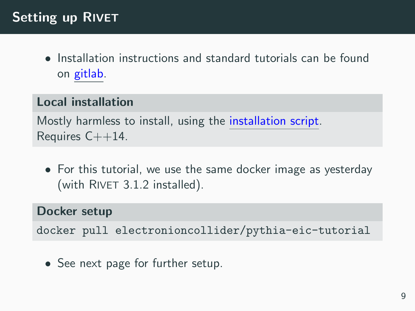### Setting up RIVET

• Installation instructions and standard tutorials can be found on [gitlab.](https://gitlab.com/hepcedar/rivet/-/blob/master/doc/tutorials/README.md)

#### Local installation

Mostly harmless to install, using the [installation script.](https://gitlab.com/hepcedar/rivetbootstrap/raw/3.1.2/rivet-bootstrap) Requires  $C++14$ .

• For this tutorial, we use the same docker image as yesterday (with RIVET 3.1.2 installed).

#### Docker setup

docker pull electronioncollider/pythia-eic-tutorial

• See next page for further setup.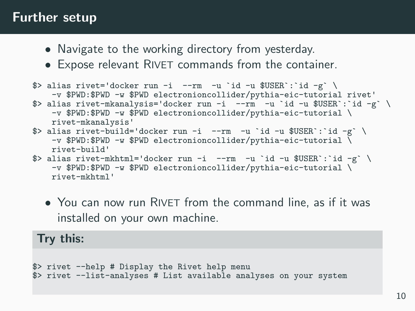#### Further setup

- Navigate to the working directory from yesterday.
- Expose relevant RIVET commands from the container.

```
\beta> alias rivet='docker run -i --rm -u `id -u $USER`: `id -g` \
    -v $PWD:$PWD -w $PWD electronioncollider/pythia-eic-tutorial rivet'
$> alias rivet-mkanalysis='docker run -i --rm -u 'id -u $USER': 'id -g' \
    -v $PWD:$PWD -w $PWD electronioncollider/pythia-eic-tutorial \
    rivet-mkanalysis'
\Rightarrow alias rivet-build='docker run -i --rm -u 'id -u USER':'id -g' \
    -v $PWD:$PWD -w $PWD electronioncollider/pythia-eic-tutorial \
    rivet-build'
\Rightarrow alias rivet-mkhtml='docker run -i --rm -u 'id -u USER':'id -g' \
    -v $PWD:$PWD -w $PWD electronioncollider/pythia-eic-tutorial \
```
rivet-mkhtml'

• You can now run RIVET from the command line, as if it was installed on your own machine.

#### Try this:

```
$> rivet --help # Display the Rivet help menu
$> rivet --list-analyses # List available analyses on your system
```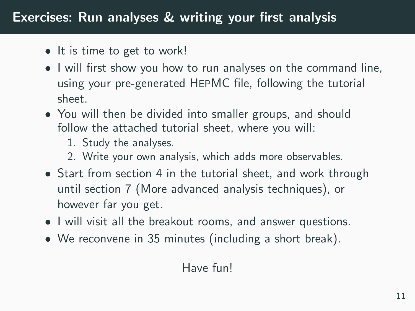### Exercises: Run analyses & writing your first analysis

- It is time to get to work!
- I will first show you how to run analyses on the command line, using your pre-generated HEPMC file, following the tutorial sheet.
- You will then be divided into smaller groups, and should follow the attached tutorial sheet, where you will:
	- 1. Study the analyses.
	- 2. Write your own analysis, which adds more observables.
- Start from section 4 in the tutorial sheet, and work through until section 7 (More advanced analysis techniques), or however far you get.
- I will visit all the breakout rooms, and answer questions.
- We reconvene in 35 minutes (including a short break).

#### Have fun!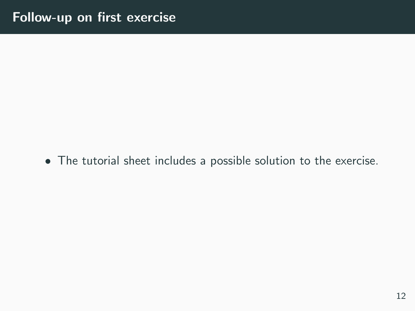• The tutorial sheet includes a possible solution to the exercise.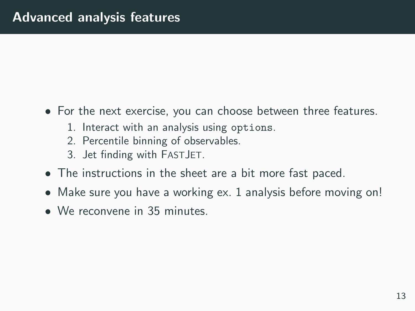- For the next exercise, you can choose between three features.
	- 1. Interact with an analysis using options.
	- 2. Percentile binning of observables.
	- 3. Jet finding with FASTJET.
- The instructions in the sheet are a bit more fast paced.
- Make sure you have a working ex. 1 analysis before moving on!
- We reconvene in 35 minutes.